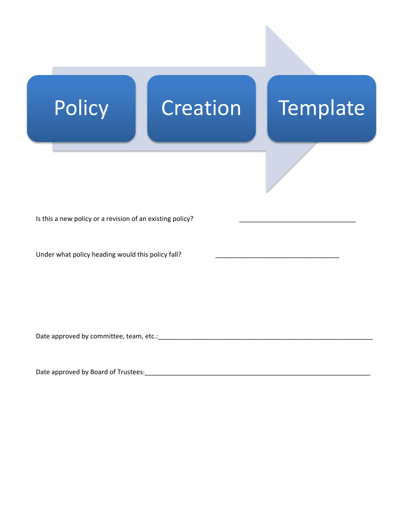

Date approved by committee, team, etc.:\_\_\_\_\_\_\_\_\_\_\_\_\_\_\_\_\_\_\_\_\_\_\_\_\_\_\_\_\_\_\_\_\_\_\_\_\_\_\_\_\_\_\_\_\_\_\_\_\_\_\_\_\_\_\_\_\_\_\_

Date approved by Board of Trustees:\_\_\_\_\_\_\_\_\_\_\_\_\_\_\_\_\_\_\_\_\_\_\_\_\_\_\_\_\_\_\_\_\_\_\_\_\_\_\_\_\_\_\_\_\_\_\_\_\_\_\_\_\_\_\_\_\_\_\_\_\_\_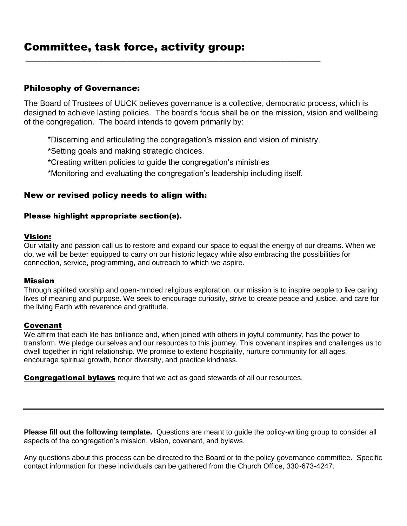## Philosophy of Governance:

The Board of Trustees of UUCK believes governance is a collective, democratic process, which is designed to achieve lasting policies. The board's focus shall be on the mission, vision and wellbeing of the congregation. The board intends to govern primarily by:

\*Discerning and articulating the congregation's mission and vision of ministry.

\*Setting goals and making strategic choices.

- \*Creating written policies to guide the congregation's ministries
- \*Monitoring and evaluating the congregation's leadership including itself.

\_\_\_\_\_\_\_\_\_\_\_\_\_\_\_\_\_\_\_\_\_\_\_\_\_\_\_\_\_\_\_\_\_\_\_\_\_\_\_\_\_\_\_\_\_\_\_\_\_\_\_\_\_\_\_\_\_\_\_\_\_\_\_\_\_\_\_\_\_\_\_\_\_\_\_\_\_\_\_\_\_

## New or revised policy needs to align with:

### Please highlight appropriate section(s).

### Vision:

Our vitality and passion call us to restore and expand our space to equal the energy of our dreams. When we do, we will be better equipped to carry on our historic legacy while also embracing the possibilities for connection, service, programming, and outreach to which we aspire.

#### Mission

Through spirited worship and open-minded religious exploration, our mission is to inspire people to live caring lives of meaning and purpose. We seek to encourage curiosity, strive to create peace and justice, and care for the living Earth with reverence and gratitude.

### Covenant

We affirm that each life has brilliance and, when joined with others in joyful community, has the power to transform. We pledge ourselves and our resources to this journey. This covenant inspires and challenges us to dwell together in right relationship. We promise to extend hospitality, nurture community for all ages, encourage spiritual growth, honor diversity, and practice kindness.

**Congregational bylaws** require that we act as good stewards of all our resources.

**Please fill out the following template.** Questions are meant to guide the policy-writing group to consider all aspects of the congregation's mission, vision, covenant, and bylaws.

Any questions about this process can be directed to the Board or to the policy governance committee. Specific contact information for these individuals can be gathered from the Church Office, 330-673-4247.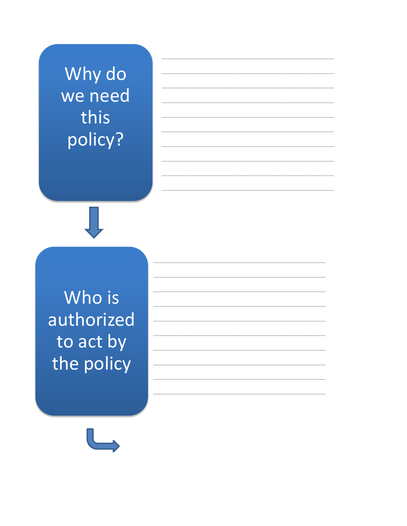Why do we need this policy?

Who is authorized to act by the policy

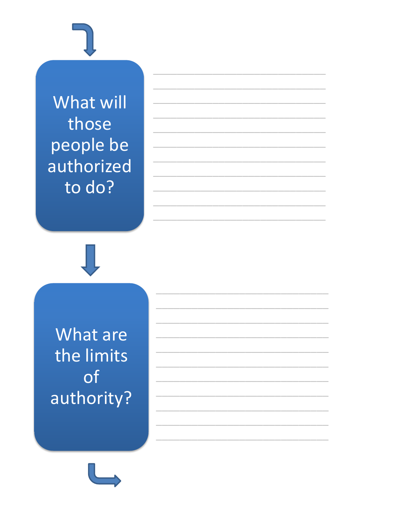What will those people be authorized to do?

What are the limits of authority?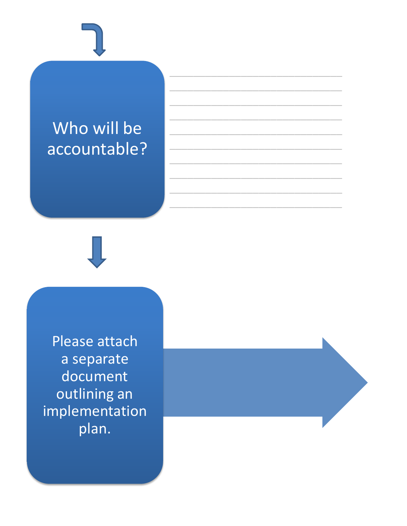# Who will be accountable?

Please attach a separate document outlining an implementation plan.